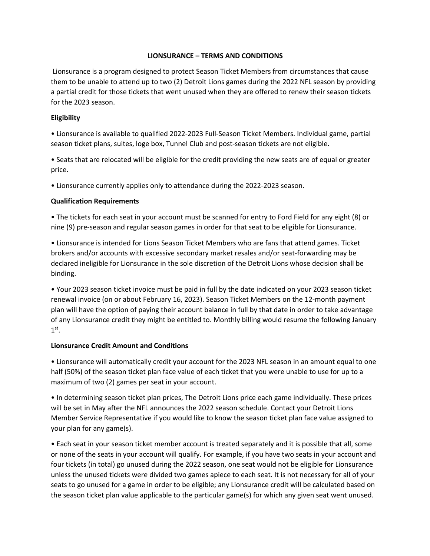## **LIONSURANCE – TERMS AND CONDITIONS**

Lionsurance is a program designed to protect Season Ticket Members from circumstances that cause them to be unable to attend up to two (2) Detroit Lions games during the 2022 NFL season by providing a partial credit for those tickets that went unused when they are offered to renew their season tickets for the 2023 season.

## **Eligibility**

• Lionsurance is available to qualified 2022-2023 Full-Season Ticket Members. Individual game, partial season ticket plans, suites, loge box, Tunnel Club and post-season tickets are not eligible.

• Seats that are relocated will be eligible for the credit providing the new seats are of equal or greater price.

• Lionsurance currently applies only to attendance during the 2022-2023 season.

## **Qualification Requirements**

• The tickets for each seat in your account must be scanned for entry to Ford Field for any eight (8) or nine (9) pre-season and regular season games in order for that seat to be eligible for Lionsurance.

• Lionsurance is intended for Lions Season Ticket Members who are fans that attend games. Ticket brokers and/or accounts with excessive secondary market resales and/or seat-forwarding may be declared ineligible for Lionsurance in the sole discretion of the Detroit Lions whose decision shall be binding.

• Your 2023 season ticket invoice must be paid in full by the date indicated on your 2023 season ticket renewal invoice (on or about February 16, 2023). Season Ticket Members on the 12-month payment plan will have the option of paying their account balance in full by that date in order to take advantage of any Lionsurance credit they might be entitled to. Monthly billing would resume the following January  $1<sup>st</sup>$ .

## **Lionsurance Credit Amount and Conditions**

• Lionsurance will automatically credit your account for the 2023 NFL season in an amount equal to one half (50%) of the season ticket plan face value of each ticket that you were unable to use for up to a maximum of two (2) games per seat in your account.

• In determining season ticket plan prices, The Detroit Lions price each game individually. These prices will be set in May after the NFL announces the 2022 season schedule. Contact your Detroit Lions Member Service Representative if you would like to know the season ticket plan face value assigned to your plan for any game(s).

• Each seat in your season ticket member account is treated separately and it is possible that all, some or none of the seats in your account will qualify. For example, if you have two seats in your account and four tickets (in total) go unused during the 2022 season, one seat would not be eligible for Lionsurance unless the unused tickets were divided two games apiece to each seat. It is not necessary for all of your seats to go unused for a game in order to be eligible; any Lionsurance credit will be calculated based on the season ticket plan value applicable to the particular game(s) for which any given seat went unused.